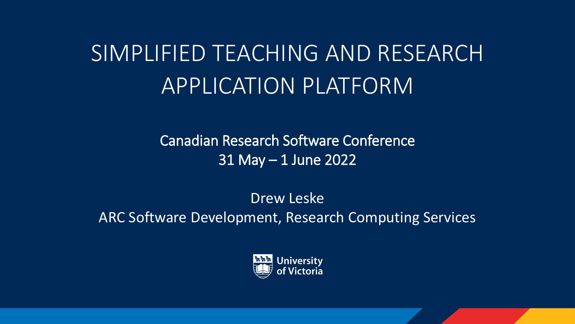# SIMPLIFIED TEACHING AND RESEARCH APPLICATION PLATFORM

Canadian Research Software Conference 31 May – 1 June 2022

Drew Leske ARC Software Development, Research Computing Services

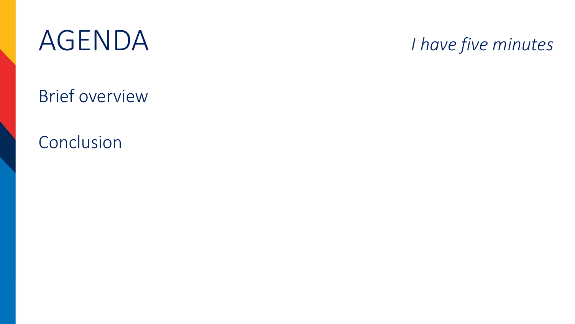

## *I have five minutes*

Brief overview

Conclusion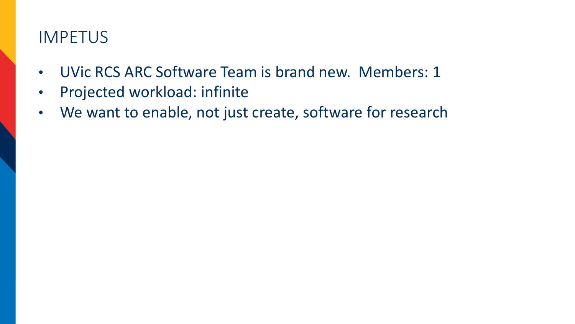#### IMPETUS

- UVic RCS ARC Software Team is brand new. Members: 1
- Projected workload: infinite
- We want to enable, not just create, software for research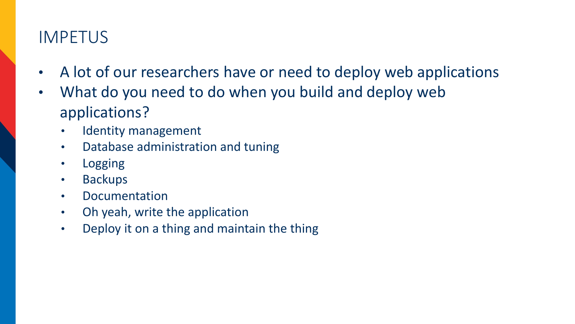## IMPETUS

- A lot of our researchers have or need to deploy web applications
- What do you need to do when you build and deploy web applications?
	- Identity management
	- Database administration and tuning
	- Logging
	- Backups
	- Documentation
	- Oh yeah, write the application
	- Deploy it on a thing and maintain the thing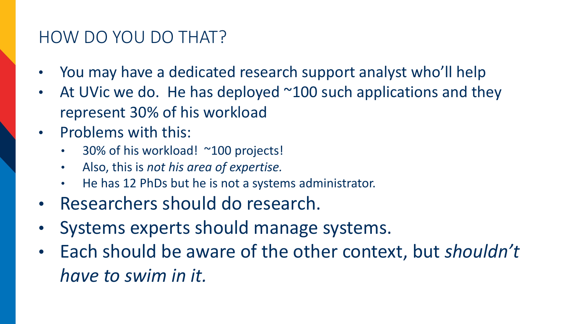## HOW DO YOU DO THAT?

- You may have a dedicated research support analyst who'll help
- At UVic we do. He has deployed  $\sim$ 100 such applications and they represent 30% of his workload
- Problems with this:
	- 30% of his workload! ~100 projects!
	- Also, this is *not his area of expertise.*
	- He has 12 PhDs but he is not a systems administrator.
- Researchers should do research.
- Systems experts should manage systems.
- Each should be aware of the other context, but *shouldn't have to swim in it.*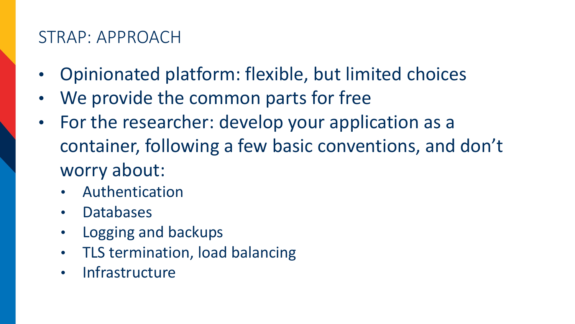#### STRAP: APPROACH

- Opinionated platform: flexible, but limited choices
- We provide the common parts for free
- For the researcher: develop your application as a container, following a few basic conventions, and don't worry about:
	- Authentication
	- Databases
	- Logging and backups
	- TLS termination, load balancing
	- **Infrastructure**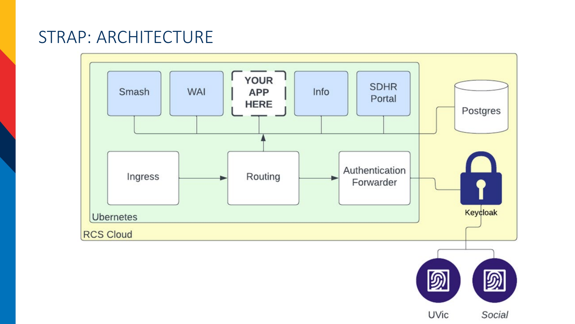#### STRAP: ARCHITECTURE



UVic Social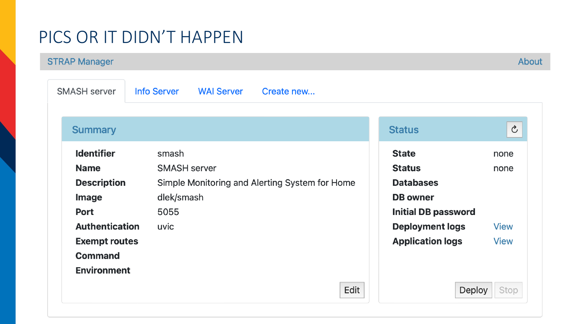## PICS OR IT DIDN'T HAPPEN

**STRAP Manager** 

About

| <b>SMASH server</b>   | <b>WAI Server</b><br><b>Info Server</b><br>Create new |                            |                |
|-----------------------|-------------------------------------------------------|----------------------------|----------------|
| <b>Summary</b>        |                                                       | <b>Status</b>              | $\mathfrak{S}$ |
| <b>Identifier</b>     | smash                                                 | <b>State</b>               | none           |
| <b>Name</b>           | <b>SMASH server</b>                                   | <b>Status</b>              | none           |
| <b>Description</b>    | Simple Monitoring and Alerting System for Home        | <b>Databases</b>           |                |
| Image                 | dlek/smash                                            | <b>DB</b> owner            |                |
| <b>Port</b>           | 5055                                                  | <b>Initial DB password</b> |                |
| <b>Authentication</b> | uvic                                                  | <b>Deployment logs</b>     | <b>View</b>    |
| <b>Exempt routes</b>  |                                                       | <b>Application logs</b>    | <b>View</b>    |
| <b>Command</b>        |                                                       |                            |                |
| <b>Environment</b>    |                                                       |                            |                |
|                       |                                                       | Edit                       | Deploy<br>Stop |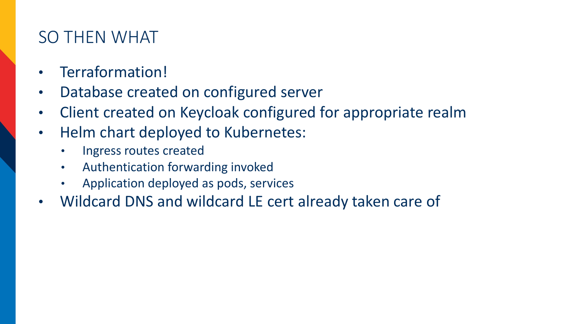## SO THEN WHAT

- Terraformation!
- Database created on configured server
- Client created on Keycloak configured for appropriate realm
- Helm chart deployed to Kubernetes:
	- Ingress routes created
	- Authentication forwarding invoked
	- Application deployed as pods, services
- Wildcard DNS and wildcard LE cert already taken care of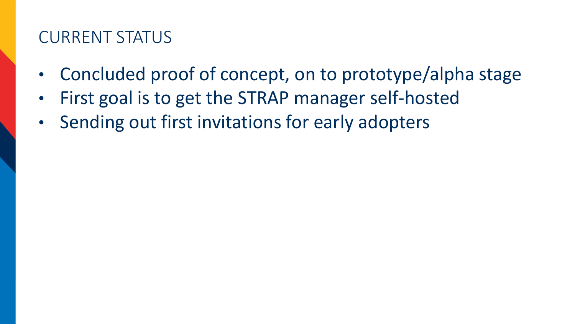#### CURRENT STATUS

- Concluded proof of concept, on to prototype/alpha stage
- First goal is to get the STRAP manager self-hosted
- Sending out first invitations for early adopters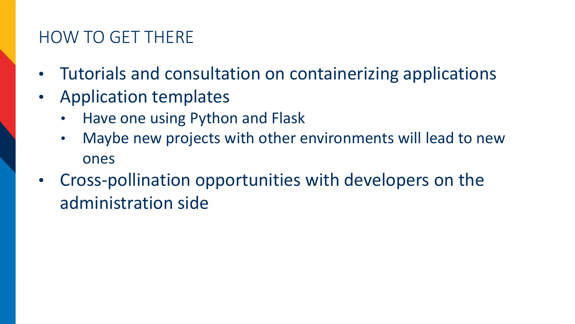## HOW TO GET THERE

- Tutorials and consultation on containerizing applications
- Application templates
	- Have one using Python and Flask
	- Maybe new projects with other environments will lead to new ones
- Cross-pollination opportunities with developers on the administration side